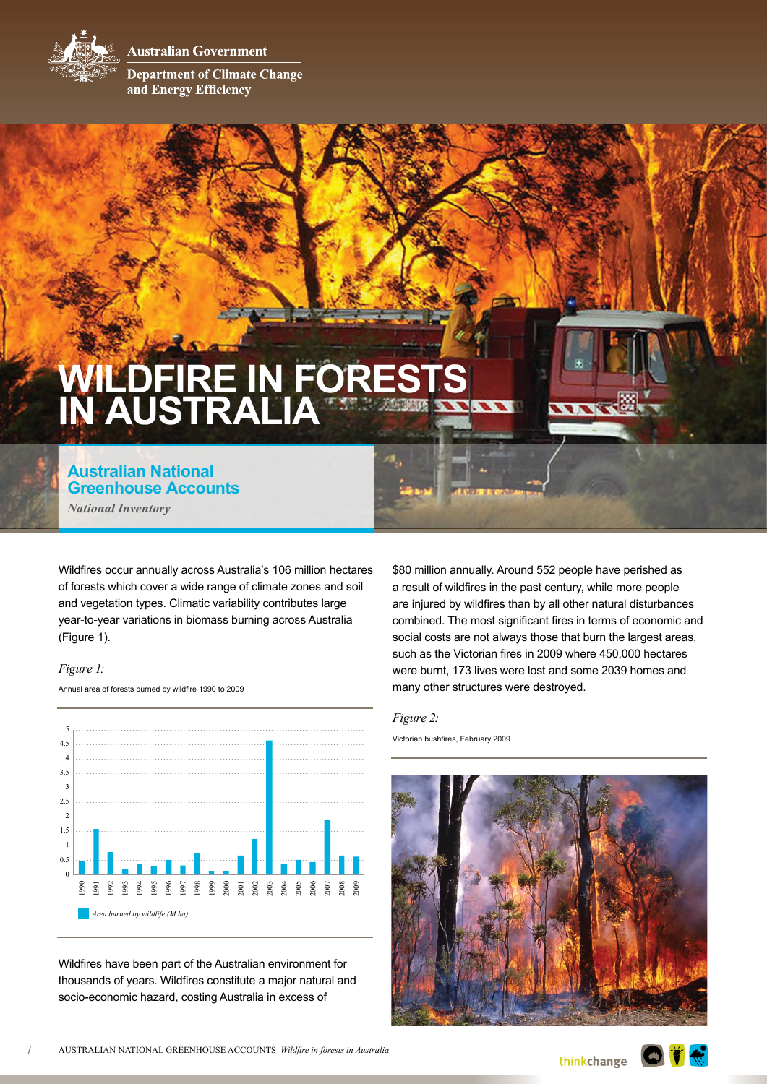**Australian Government** 



**Department of Climate Change** and Energy Efficiency

# **Wildfire in forests in Australia**

**Australian National Greenhouse Accounts** *National Inventory*

Wildfires occur annually across Australia's 106 million hectares of forests which cover a wide range of climate zones and soil and vegetation types. Climatic variability contributes large year-to-year variations in biomass burning across Australia (Figure 1).

## *Figure 1:*

Annual area of forests burned by wildfire 1990 to 2009



Wildfires have been part of the Australian environment for thousands of years. Wildfires constitute a major natural and socio-economic hazard, costing Australia in excess of

\$80 million annually. Around 552 people have perished as a result of wildfires in the past century, while more people are injured by wildfires than by all other natural disturbances combined. The most significant fires in terms of economic and social costs are not always those that burn the largest areas, such as the Victorian fires in 2009 where 450,000 hectares were burnt, 173 lives were lost and some 2039 homes and many other structures were destroyed.

WW

#### *Figure 2:*

Victorian bushfires, February 2009